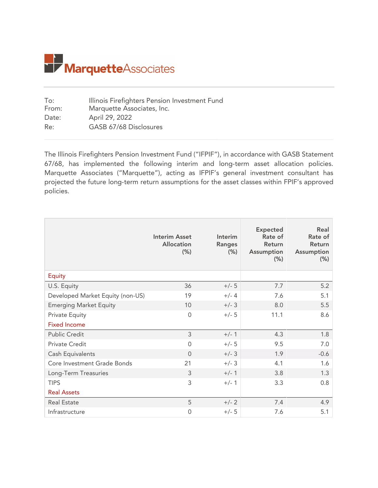

| Illinois Firefighters Pension Investment Fund |
|-----------------------------------------------|
| Marquette Associates, Inc.                    |
| April 29, 2022                                |
| GASB 67/68 Disclosures                        |
|                                               |

The Illinois Firefighters Pension Investment Fund ("IFPIF"), in accordance with GASB Statement 67/68, has implemented the following interim and long-term asset allocation policies. Marquette Associates ("Marquette"), acting as IFPIF's general investment consultant has projected the future long-term return assumptions for the asset classes within FPIF's approved policies.

|                                  | <b>Interim Asset</b><br><b>Allocation</b><br>$(\% )$ | Interim<br><b>Ranges</b><br>$(\% )$ | <b>Expected</b><br>Rate of<br>Return<br>Assumption<br>(% ) | Real<br>Rate of<br>Return<br>Assumption<br>$(\% )$ |
|----------------------------------|------------------------------------------------------|-------------------------------------|------------------------------------------------------------|----------------------------------------------------|
| Equity                           |                                                      |                                     |                                                            |                                                    |
| U.S. Equity                      | 36                                                   | $+/- 5$                             | 7.7                                                        | 5.2                                                |
| Developed Market Equity (non-US) | 19                                                   | $+/- 4$                             | 7.6                                                        | 5.1                                                |
| <b>Emerging Market Equity</b>    | 10                                                   | $+/- 3$                             | 8.0                                                        | 5.5                                                |
| <b>Private Equity</b>            | $\overline{0}$                                       | $+/- 5$                             | 11.1                                                       | 8.6                                                |
| <b>Fixed Income</b>              |                                                      |                                     |                                                            |                                                    |
| <b>Public Credit</b>             | 3                                                    | $+/- 1$                             | 4.3                                                        | 1.8                                                |
| Private Credit                   | $\Omega$                                             | $+/- 5$                             | 9.5                                                        | 7.0                                                |
| Cash Equivalents                 | $\Omega$                                             | $+/- 3$                             | 1.9                                                        | $-0.6$                                             |
| Core Investment Grade Bonds      | 21                                                   | $+/- 3$                             | 4.1                                                        | 1.6                                                |
| Long-Term Treasuries             | 3                                                    | $+/- 1$                             | 3.8                                                        | 1.3                                                |
| <b>TIPS</b>                      | 3                                                    | $+/- 1$                             | 3.3                                                        | 0.8                                                |
| <b>Real Assets</b>               |                                                      |                                     |                                                            |                                                    |
| <b>Real Estate</b>               | 5                                                    | $+/- 2$                             | 7.4                                                        | 4.9                                                |
| Infrastructure                   | 0                                                    | $+/- 5$                             | 7.6                                                        | 5.1                                                |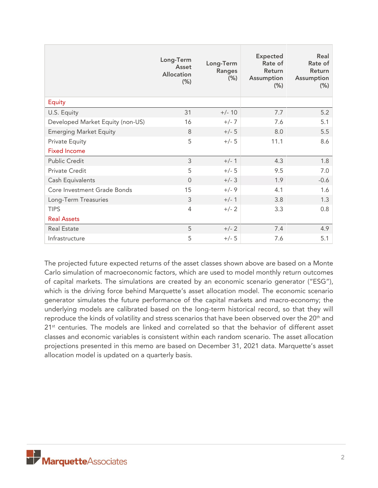|                                  | Long-Term<br>Asset<br><b>Allocation</b><br>$(\% )$ | Long-Term<br>Ranges<br>(% ) | <b>Expected</b><br>Rate of<br>Return<br>Assumption<br>$(\% )$ | Real<br>Rate of<br>Return<br>Assumption<br>$(\% )$ |
|----------------------------------|----------------------------------------------------|-----------------------------|---------------------------------------------------------------|----------------------------------------------------|
| <b>Equity</b>                    |                                                    |                             |                                                               |                                                    |
| U.S. Equity                      | 31                                                 | $+/- 10$                    | 7.7                                                           | 5.2                                                |
| Developed Market Equity (non-US) | 16                                                 | $+/- 7$                     | 7.6                                                           | 5.1                                                |
| <b>Emerging Market Equity</b>    | 8                                                  | $+/- 5$                     | 8.0                                                           | 5.5                                                |
| <b>Private Equity</b>            | 5                                                  | $+/- 5$                     | 11.1                                                          | 8.6                                                |
| <b>Fixed Income</b>              |                                                    |                             |                                                               |                                                    |
| <b>Public Credit</b>             | 3                                                  | $+/- 1$                     | 4.3                                                           | 1.8                                                |
| Private Credit                   | 5                                                  | $+/- 5$                     | 9.5                                                           | 7.0                                                |
| Cash Equivalents                 | $\Omega$                                           | $+/- 3$                     | 1.9                                                           | $-0.6$                                             |
| Core Investment Grade Bonds      | 15                                                 | $+/-9$                      | 4.1                                                           | 1.6                                                |
| Long-Term Treasuries             | 3                                                  | $+/- 1$                     | 3.8                                                           | 1.3                                                |
| <b>TIPS</b>                      | $\overline{4}$                                     | $+/- 2$                     | 3.3                                                           | 0.8                                                |
| <b>Real Assets</b>               |                                                    |                             |                                                               |                                                    |
| <b>Real Estate</b>               | 5                                                  | $+/- 2$                     | 7.4                                                           | 4.9                                                |
| Infrastructure                   | 5                                                  | $+/- 5$                     | 7.6                                                           | 5.1                                                |

The projected future expected returns of the asset classes shown above are based on a Monte Carlo simulation of macroeconomic factors, which are used to model monthly return outcomes of capital markets. The simulations are created by an economic scenario generator ("ESG"), which is the driving force behind Marquette's asset allocation model. The economic scenario generator simulates the future performance of the capital markets and macro-economy; the underlying models are calibrated based on the long-term historical record, so that they will reproduce the kinds of volatility and stress scenarios that have been observed over the 20<sup>th</sup> and  $21<sup>st</sup>$  centuries. The models are linked and correlated so that the behavior of different asset classes and economic variables is consistent within each random scenario. The asset allocation projections presented in this memo are based on December 31, 2021 data. Marquette's asset allocation model is updated on a quarterly basis.